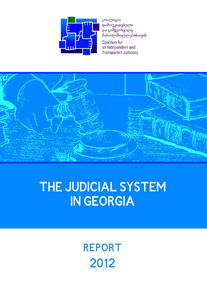

კოალიცია დამოუკიდებელი და გამჭვირვალე მართლმსაჯულებისთვის

**Coalition** for an Independent and **Transparent Judiciary** 



# THE JUDICIAL SYSTEM **IN GEORGIA**

**REPORT** 2012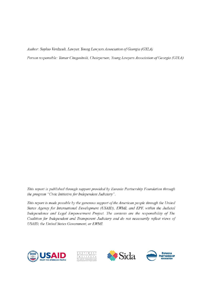Author: Sophio Verdzeuli, Lawyer, Young Lawyers Association of Georgia (GYLA)

Person responsible: Tamar Chugoshvili, Chairperson, Young Lawyers Association of Georgia (GYLA)

This report is published through support provided by Eurasia Partnership Foundation through the program "Civic Initiative for Independent Judiciary".

This report is made possible by the generous support of the American people through the United States Agency for International Development (USAID), EWMI, and EPF, within the Judicial Independence and Legal Empowerment Project. The contents are the responsibility of The Coalition for Independent and Transparent Judiciary and do not necessarily reflect views of USAID, the United States Government, or EWMI.







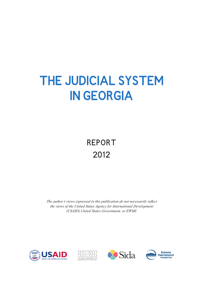# **THE JUDICIAL SYSTEM IN GEORGIA**

# **REPORT2012**

*The author's views expressed in this publication do not necessarily reflect the views of the United States Agency for International Development (USAID),United States Government, or EWMI.*







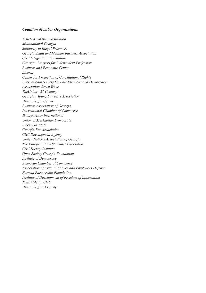#### *Coalition Member Organizations*

*Article 42 of the Constitution Multinational Georgia Solidarity to Illegal Prisoners Georgia Small and Medium Business Association Civil Integration Foundation Georgian Lawyers for Independent Profession Business and Economic Center Liberal Center for Protection of Constitutional Rights International Society for Fair Elections and Democracy Association Green Wave TheUnion "21 Century" Georgian Young Lawyer's Association Human Right Center Business Association of Georgia International Chamber of Commerce Transparency International Union of Meskhetian Democrats Liberty Institute Georgia Bar Association Civil Development Agency United Nations Association of Georgia The European Law Students' Association Civil Society Institute Open Society Georgia Foundation Institute of Democracy American Chamber of Commerce Association of Civic Initiatives and Employees Defense Eurasia Partnership Foundation Institute of Development of Freedom of Information Tbilisi Media Club Human Rights Priority*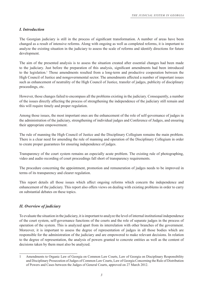# *I. Introduction*

The Georgian judiciary is still in the process of significant transformation. A number of areas have been changed as a result of intensive reforms. Along with ongoing as well as completed reforms, it is important to analyze the existing situation in the judiciary to assess the scale of reforms and identify directions for future development.

The aim of the presented analysis is to assess the situation created after essential changes had been made to the judiciary. Just before the preparation of this analysis, significant amendments had been introduced to the legislation.1 Those amendments resulted from a long-term and productive cooperation between the High Council of Justice and nongovernmental sector. The amendments affected a number of important issues such as enhancement of neutrality of the High Council of Justice, transfer of judges, publicity of disciplinary proceedings, etc.

However, those changes failed to encompass all the problems existing in the judiciary. Consequently, a number of the issues directly affecting the process of strengthening the independence of the judiciary still remain and this will require timely and proper regulation.

Among those issues, the most important ones are the enhancement of the role of self-governance of judges in the administration of the judiciary, strengthening of individual judges and Conference of Judges, and ensuring their appropriate empowerment.

The rule of manning the High Council of Justice and the Disciplinary Collegium remains the main problem. There is a clear need for amending the rule of manning and operation of the Disciplinary Collegium in order to create proper guarantees for ensuring independence of judges.

Transparency of the court system remains an especially acute problem. The existing rule of photographing, video and audio recording of court proceedings fall short of transparency requirements.

The procedure concerning the appointment, promotion and remuneration of judges needs to be improved in terms of its transparency and clearer regulation.

This report details all those issues which affect ongoing reforms which concern the independence and enhancement of the judiciary. This report also offers views on dealing with existing problems in order to carry on substantial debates on these topics.

# *II. Overview of judiciary*

To evaluate the situation in the judiciary, it is important to analyze the level of internal institutional independence of the court system, self-governance functions of the courts and the role of separate judges in the process of operation of the system. This is analyzed apart from its interrelation with other branches of the government. Moreover, it is important to assess the degree of representation of judges in all those bodies which are responsible for the administration of the judiciary and are empowered to make relevant decisions. In relation to the degree of representation, the analysis of powers granted to concrete entities as well as the content of decisions taken by them must also be analyzed.

<sup>1</sup> Amendments to Organic Law of Georgia on Common Law Courts, Law of Georgia on Disciplinary Responsibility and Disciplinary Prosecution of Judges of Common Law Courts, Law of Georgia Concerning the Rule of Distribution of Powers and Cases between the Judges of General Courts, approved on 27 March 2012.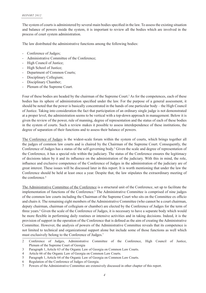The system of courts is administered by several main bodies specified in the law. To assess the existing situation and balance of powers inside the system, it is important to review all the bodies which are involved in the process of court system administration.

The law distributed the administrative functions among the following bodies:

- Conference of Judges;
- Administrative Committee of the Conference:
- High Council of Justice;
- High School of Justice;
- Department of Common Courts;
- Disciplinary Collegium;
- Disciplinary Chamber;
- Plenum of the Supreme Court.

Four of these bodies are headed by the chairman of the Supreme Court.<sup>2</sup> As for the competences, each of these bodies has its sphere of administration specified under the law. For the purpose of a general assessment, it should be noted that the power is basically concentrated in the hands of one particular body – the High Council of Justice. Taking into consideration the fact that participation of an ordinary single judge is not demonstrated at a proper level, the administration seems to be vertical with a top-down approach in management. Below it is given the review of the power, rule of manning, degree of representation and the status of each of these bodies in the system of courts. Such a review makes it possible to assess interdependence of these institutions, the degree of separation of their functions and to assess their balance of powers.

The Conference of Judges is the widest-scale forum within the system of courts, which brings together all the judges of common law courts and is chaired by the Chairman of the Supreme Court. Consequently, the Conference of Judges has a status of the self-governing body.<sup>3</sup> Given the scale and degree of representation of the Conference, it has a special role within the judiciary. The status of the Conference ensures the legitimacy of decisions taken by it and its influence on the administration of the judiciary. With this in mind, the role, influence and exclusive competence of the Conference of Judges in the administration of the judiciary are of great interest. These issues will be discussed later in this report. It is worth mentioning that under the law the Conference should be held at least once a year. Despite that, the law stipulates the extraordinary meeting of the conference.<sup>4</sup>

The Administrative Committee of the Conference is a structural unit of the Conference, set up to facilitate the implementation of functions of the Conference.<sup>5</sup> The Administrative Committee is comprised of nine judges of the common law courts including the Chairman of the Supreme Court who sits on the Committee ex officion and chairs it. The remaining eight members of the Administrative Committee (who cannot be a court chairman, deputy chairman, chairman of collegium or chamber) are elected by the Conference of Judges for the term of three years.<sup>6</sup> Given the scale of the Conference of Judges, it is necessary to have a separate body which would be more flexible in performing daily routines or intensive activities and in taking decisions. Indeed, it is the provision of support in the operation of the Conference that is defined as the aim of creating the Administrative Committee. However, the analysis of powers of the Administrative Committee reveals that its competence is not limited to technical and organizational support alone but include some of those functions as well which must exclusively belong to the Conference of Judges.7

<sup>2</sup> Conference of Judges, Administrative Committee of the Conference, High Council of Justice, Plenum of the Supreme Court of Georgia

<sup>3</sup> Paragraph 1, Article 63 of the Organic Law of Georgia on Common Law Courts.

<sup>4</sup> Article 66 of the Organic Law of Georgia on Common Law Courts.

<sup>5</sup> Paragraph 1, Article 64 of the Organic Law of Georgia on Common Law Courts.

<sup>6</sup> Regulation of the Conference of Judges of Georgia.

<sup>7</sup> Powers of the Administrative Committee are extensively discussed in other chapter of this report.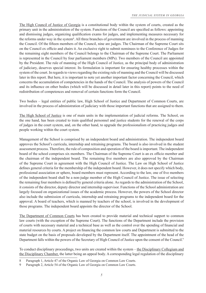The High Council of Justice of Georgia is a constitutional body within the system of courts, created as the primary unit in the administration of the system. Functions of the Council are specified as follows: appointing and dismissing judges, organizing qualification exams for judges, and implementing measures necessary for the reforms under way in the system<sup>8</sup>. All three branches of government are involved in the process of manning the Council. Of the fifteen members of the Council, nine are judges. The Chairman of the Supreme Court sits on the Council ex officio and chairs it. An exclusive right to submit nominees to the Conference of Judges for the remaining eight members of the Council belongs to the Chairman of the Supreme Court. The Parliament is represented in the Council by four parliament members (MPs). Two members of the Council are appointed by the President. The rule of manning of the High Council of Justice, as the principal body of administration of judiciary, deserves special interest. Its formulation is important for ensuring healthy processes within the system of the court. In regards to views regarding the existing rule of manning and the Council will be discussed later in this report. But here, it is important to note yet another important factor concerning the Council, which concerns the accumulation of competencies in the hands of the Council. The analysis of powers of the Council and its influence on other bodies (which will be discussed in detail later in this report) points to the need of redistribution of competences and removal of certain functions form the Council.

Two bodies – legal entities of public law, High School of Justice and Department of Common Courts, are involved in the process of administration of judiciary with those important functions that are assigned to them.

The High School of Justice is one of main units in the implementation of judicial reforms. The School, on the one hand, has been created to train qualified personnel and justice students for the renewal of the corps of judges in the court system, and, on the other hand, to upgrade the professionalism of practicing judges and people working within the court system.

Management of the School is comprised by an independent board and administration. The independent board approves the School's curricula, internship and retraining programs. The board is also involved in the student assessment process. Therefore, the rule of composition and operation of the board is important. The independent board of the school comprises six members. The Chairman of the Supreme Court is an ex officio member and the chairman of the independent board. The remaining five members are also approved by the Chairman of the Supreme Court in agreement with the High Council of Justice. The Law on High School of Justice defines general criteria for the membership of the independent board. However, it does not specify which body, professional association or sphere, board members must represent. According to the law, one of five members of the independent board shall be a non-judge member of the High Council of Justice. The issue of selecting the remaining four members is defined by general criteria alone. As regards to the administration of the School, it consists of the director, deputy director and internship supervisor. Functions of the School administration are largely focused on organizational issues of the academic process. However, the powers of the School director also include the submission of curricula, internship and retraining programs to the independent board for the approval. A board of teachers, which is manned by teachers of the school, is involved in the development of those programs. The independent board appoints the director of the School.

The Department of Common Courts has been created to provide material and technical support to common law courts (with the exception of the Supreme Court). The functions of the Department include the provision of courts with necessary material and a technical base as well as the control over the spending of financial and material resources by courts. A project on financing the common law courts and Department is submitted to the state budget on the basis of proposals developed by the Department itself. The appointment of the head of the Department falls within the powers of the Secretary of High Council of Justice upon the consent of the Council.<sup>9</sup>

To conduct disciplinary proceedings, two units are created within the system – the Disciplinary Collegium and the Disciplinary Chamber, the latter being an appeal body. A corresponding legal regulation of the disciplinary

<sup>8</sup> Paragraph 1, Article 47 of the Organic Law of Georgia on Common Law Courts.

<sup>9</sup> Paragraph 2, Article 54 of the Organic Law of Georgia on Common Law Courts.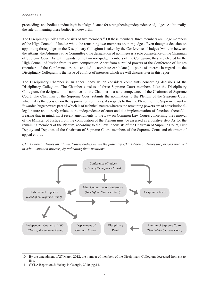proceedings and bodies conducting it is of significance for strengthening independence of judges. Additionally, the rule of manning these bodies is noteworthy.

The Disciplinary Collegium consists of five members.<sup>10</sup> Of these members, three members are judge members of the High Council of Justice while the remaining two members are non-judges. Even though a decision on appointing three judges to the Disciplinary Collegium is taken by the Conference of Judges (while in between the sittings, the Administrative Committee), the designation of nominees is a sole competence of the Chairman of Supreme Court. As with regards to the two non-judge members of the Collegium, they are elected by the High Council of Justice from its own composition. Apart from curtailed powers of the Conference of Judges (members of the Conference are not entitled to nominate candidates), a point of interest in regards to the Disciplinary Collegium is the issue of conflict of interests which we will discuss later in this report.

The Disciplinary Chamber is an appeal body which considers complaints concerning decisions of the Disciplinary Collegium. The Chamber consists of three Supreme Court members. Like the Disciplinary Collegium, the designation of nominees to the Chamber is a sole competence of the Chairman of Supreme Court. The Chairman of the Supreme Court submits the nomination to the Plenum of the Supreme Court which takes the decision on the approval of nominees. As regards to this the Plenum of the Supreme Court is "awarded huge powers part of which is of technical nature whereas the remaining powers are of constitutionallegal nature and directly relate to the independence of court and due implementation of functions thereof."<sup>11</sup> Bearing that in mind, most recent amendments to the Law on Common Law Courts concerning the removal of the Minister of Justice from the composition of the Plenum must be assessed as a positive step. As for the remaining members of the Plenum, according to the Law, it consists of the Chairman of Supreme Court, First Deputy and Deputies of the Chairman of Supreme Court, members of the Supreme Court and chairmen of appeal courts.

*Chart 1 demonstrates all administrative bodies within the judiciary. Chart 2 demonstrates the persons involved in administration process, by indicating their positions.*



<sup>10</sup> By the amendment of 27 March 2012, the number of members of the Disciplinary Collegium decreased from six to five.

<sup>11</sup> GYLA Report on Judiciary in Georgia, 2010, pg.14.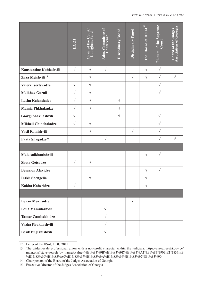#### *THE JUDICIAL SYSTEM IN GEORGIA*

|                                                                                                                                                                                                                                                                                                                                                                                                                                                                    | <b>HCOJ</b> | <b>Chair of the Court,<br/>Collegium/Panel</b> | Adm. Committee of<br>Conference | Disciplinary Board | Disciplinary Panel | Ind. Board of HSOJ <sup>12</sup> | <b>Plenum of the Supreme</b><br>$\overline{\text{Count}}$ | <b>Board of the Judges</b><br>Association of Georgia <sup>13</sup> |
|--------------------------------------------------------------------------------------------------------------------------------------------------------------------------------------------------------------------------------------------------------------------------------------------------------------------------------------------------------------------------------------------------------------------------------------------------------------------|-------------|------------------------------------------------|---------------------------------|--------------------|--------------------|----------------------------------|-----------------------------------------------------------|--------------------------------------------------------------------|
| Konstantine Kublashvili                                                                                                                                                                                                                                                                                                                                                                                                                                            | $\sqrt{}$   | $\sqrt{}$                                      | $\sqrt{}$                       |                    |                    | $\sqrt{ }$                       | $\sqrt{}$                                                 |                                                                    |
| Zaza Meishvili <sup>14</sup>                                                                                                                                                                                                                                                                                                                                                                                                                                       |             | $\sqrt{}$                                      |                                 |                    | $\sqrt{ }$         | $\sqrt{ }$                       | $\sqrt{}$                                                 | $\sqrt{ }$                                                         |
| Valeri Tsertsvadze                                                                                                                                                                                                                                                                                                                                                                                                                                                 | $\sqrt{}$   | $\sqrt{ }$                                     |                                 |                    |                    |                                  | $\sqrt{}$                                                 |                                                                    |
| <b>Malkhaz Guruli</b>                                                                                                                                                                                                                                                                                                                                                                                                                                              | $\sqrt{}$   | $\sqrt{}$                                      |                                 |                    |                    |                                  | $\sqrt{}$                                                 |                                                                    |
| Lasha Kalandadze                                                                                                                                                                                                                                                                                                                                                                                                                                                   | $\sqrt{}$   | $\sqrt{}$                                      |                                 | $\sqrt{}$          |                    |                                  |                                                           |                                                                    |
| <b>Mamia Phkhakadze</b>                                                                                                                                                                                                                                                                                                                                                                                                                                            | $\sqrt{}$   | $\sqrt{ }$                                     |                                 | $\sqrt{}$          |                    |                                  |                                                           |                                                                    |
| Giorgi Shavliashvili                                                                                                                                                                                                                                                                                                                                                                                                                                               | $\sqrt{}$   |                                                |                                 | $\sqrt{ }$         |                    |                                  | $\sqrt{}$                                                 |                                                                    |
| <b>Mikheil Chinchaladze</b>                                                                                                                                                                                                                                                                                                                                                                                                                                        | $\sqrt{ }$  | $\sqrt{}$                                      |                                 |                    |                    |                                  | $\sqrt{}$                                                 |                                                                    |
| Vasil Roinishvili                                                                                                                                                                                                                                                                                                                                                                                                                                                  |             | $\sqrt{}$                                      |                                 |                    | $\sqrt{ }$         |                                  | $\sqrt{}$                                                 |                                                                    |
| Paata Silagadze <sup>15</sup>                                                                                                                                                                                                                                                                                                                                                                                                                                      |             |                                                | $\sqrt{}$                       |                    |                    |                                  | $\sqrt{}$                                                 | $\sqrt{ }$                                                         |
|                                                                                                                                                                                                                                                                                                                                                                                                                                                                    |             |                                                |                                 |                    |                    |                                  |                                                           |                                                                    |
| Maia sulkhanishvili                                                                                                                                                                                                                                                                                                                                                                                                                                                |             |                                                |                                 |                    |                    | $\sqrt{}$                        | $\sqrt{}$                                                 |                                                                    |
| <b>Shota Getsadze</b>                                                                                                                                                                                                                                                                                                                                                                                                                                              | $\sqrt{}$   | $\sqrt{ }$                                     |                                 |                    |                    |                                  |                                                           |                                                                    |
| <b>Besarion Alavidze</b>                                                                                                                                                                                                                                                                                                                                                                                                                                           |             |                                                |                                 |                    |                    | $\sqrt{}$                        | $\sqrt{}$                                                 |                                                                    |
| <b>Irakli Shengelia</b>                                                                                                                                                                                                                                                                                                                                                                                                                                            |             | $\sqrt{}$                                      |                                 |                    |                    | $\sqrt{}$                        |                                                           |                                                                    |
| <b>Kakha Koberidze</b>                                                                                                                                                                                                                                                                                                                                                                                                                                             | $\sqrt{}$   |                                                |                                 |                    |                    | $\sqrt{}$                        |                                                           |                                                                    |
|                                                                                                                                                                                                                                                                                                                                                                                                                                                                    |             |                                                |                                 |                    |                    |                                  |                                                           |                                                                    |
| <b>Levan Murusidze</b>                                                                                                                                                                                                                                                                                                                                                                                                                                             |             |                                                |                                 |                    | $\sqrt{}$          |                                  |                                                           |                                                                    |
| Leila Mamulashvili                                                                                                                                                                                                                                                                                                                                                                                                                                                 |             |                                                | $\sqrt{}$                       |                    |                    |                                  |                                                           |                                                                    |
| <b>Tamar Zambakhidze</b>                                                                                                                                                                                                                                                                                                                                                                                                                                           |             |                                                | $\sqrt{}$                       |                    |                    |                                  |                                                           |                                                                    |
| Vazha Phukhashvili                                                                                                                                                                                                                                                                                                                                                                                                                                                 |             |                                                | $\sqrt{}$                       |                    |                    |                                  |                                                           |                                                                    |
| <b>Besik Bugianishvili</b>                                                                                                                                                                                                                                                                                                                                                                                                                                         |             |                                                | $\sqrt{}$                       |                    |                    |                                  |                                                           |                                                                    |
| Letter of the HSoJ, 15.07.2011<br>12<br>The widest-scale professional union with a non-profit character within the judiciary, https://enreg.reestri.gov.ge/<br>13<br>main.php?state=search_by_name&value=%E1%83%9B%E1%83%9D%E1%83%A1%E1%83%90%E1%83%9E<br>%E1%83%90%E1%83%A0%E1%83%97%E1%83%9A%E1%83%94%E1%83%97%E1%83%90<br>Chair person of the Board of the Judges Association of Georgia<br>14<br>Executive Director of the Judges Association of Georgia<br>15 |             |                                                |                                 |                    |                    |                                  |                                                           |                                                                    |

<sup>12</sup> Letter of the HSoJ, 15.07.2011

<sup>13</sup> The widest-scale professional union with a non-profit character within the judiciary, https://enreg.reestri.gov.ge/ main.php?state=search\_by\_name&value=%E1%83%9B%E1%83%9D%E1%83%A1%E1%83%90%E1%83%9B %E1%83%90%E1%83%A0%E1%83%97%E1%83%9A%E1%83%94%E1%83%97%E1%83%90

<sup>14</sup> Chair person of the Board of the Judges Association of Georgia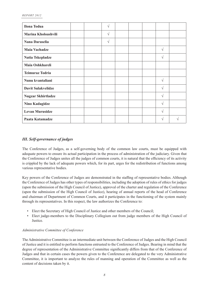| <b>Ilona Todua</b>        |  | V |  |            |   |
|---------------------------|--|---|--|------------|---|
| Marina Kholoashvili       |  | V |  |            |   |
| Nana Daraselia            |  | V |  |            |   |
| <b>Maia Vachadze</b>      |  |   |  | V          |   |
| Natia Tskepladze          |  |   |  | V          |   |
| Maia Oshkhareli           |  |   |  |            |   |
| <b>Teimuraz Todria</b>    |  |   |  |            |   |
| Nunu kvantaliani          |  |   |  | V          |   |
| <b>Davit Sulakvelidze</b> |  |   |  | V          |   |
| <b>Nugzar Skhirtladze</b> |  |   |  | V          |   |
| <b>Nino Kadagidze</b>     |  |   |  | V          |   |
| <b>Levan Murusidze</b>    |  |   |  | V          |   |
| Paata Katamadze           |  |   |  | $\sqrt{ }$ | ٦ |

# *III. Self-governance of judges*

The Conference of Judges, as a self-governing body of the common law courts, must be equipped with adequate powers to ensure its actual participation in the process of administration of the judiciary. Given that the Conference of Judges unites all the judges of common courts, it is natural that the efficiency of its activity is crippled by the lack of adequate powers which, for its part, urges for the redistribution of functions among various representative bodies.

Key powers of the Conference of Judges are demonstrated in the staffing of representative bodies. Although the Conference of Judges has other types of responsibilities, including the adoption of rules of ethics for judges (upon the submission of the High Council of Justice), approval of the charter and regulation of the Conference (upon the submission of the High Council of Justice), hearing of annual reports of the head of Conference and chairman of Department of Common Courts, and it participates in the functioning of the system mainly through its representatives. In this respect, the law authorizes the Conference to:

- •Elect the Secretary of High Council of Justice and other members of the Council;
- • Elect judge-members to the Disciplinary Collegium out from judge members of the High Council of Justice.

#### *Administrative Committee of Conference*

The Administrative Committee is an intermediate unit between the Conference of Judges and the High Council of Justice and it is entitled to perform functions entrusted to the Conference of Judges. Bearing in mind that the degree of representation of the Administrative Committee significantly differs from that of the Conference of Judges and that in certain cases the powers given to the Conference are delegated to the very Administrative Committee, it is important to analyze the rules of manning and operation of the Committee as well as the content of decisions taken by it.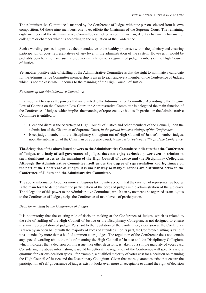The Administrative Committee is manned by the Conference of Judges with nine persons elected from its own composition. Of these nine members, one is ex officio the Chairman of the Supreme Court. The remaining eight members of the Administrative Committee cannot be a court chairman, deputy chairman, chairman of collegium or chamber which is according to the regulation of the Conference.

Such a wording, per se, is a positive factor conducive to the healthy processes within the judiciary and ensuring participation of court representatives of any level in the administration of the system. However, it would be probably beneficial to have such a provision in relation to a segment of judge members of the High Council of Justice.

Yet another positive side of staffing of the Administrative Committee is that the right to nominate a candidate for the Administrative Committee membership is given to each and every member of the Conference of Judges, which is not the case when it comes to the manning of the High Council of Justice.

#### *Functions of the Administrative Committee*

It is important to assess the powers that are granted to the Administrative Committee. According to the Organic Law of Georgia on the Common Law Court, the Administrative Committee is delegated the main function of the Conference of Judges, which implies the manning of representative bodies. In particular, the Administrative Committee is entitled to:

- Elect and dismiss the Secretary of High Council of Justice and other members of the Council, upon the submission of the Chairman of Supreme Court, *in the period between sittings of the Conference*;
- Elect judge-members to the Disciplinary Collegium out of High Council of Justice's member judges, upon the submission of the Chairman of Supreme Court, *in the period between sittings of the Conference*.

**The delegation of the above listed powers to the Administrative Committee indicates that the Conference of Judges, as a body of self-governance of judges, does not enjoy exclusive power even in relation to**  such significant issues as the manning of the High Council of Justice and the Disciplinary Collegium. **Although the Administrative Committee itself enjoys the degree of representation and legitimacy on the part of the Conference of Judges, it is unclear why so many functions are distributed between the Conference of Judges and the Administrative Committee.** 

The above information becomes more ambiguous taking into account that the creation of representative bodies is the main form to demonstrate the participation of the corps of judges in the administration of the judiciary. The delegation of this power to the Administrative Committee, which can by no means be regarded as analogous to the Conference of Judges, strips the Conference of main levels of participation.

#### *Decision-making by the Conference of Judges*

It is noteworthy that the existing rule of decision making at the Conference of Judges, which is related to the rule of staffing of the High Council of Justice or the Disciplinary Collegium, is not designed to ensure maximal representation of judges. Pursuant to the regulation of the Conference, a decision at the Conference is taken by an open ballot with the majority of votes of attendees. For its part, the Conference sitting is valid if it is attended by more than a half of common court judges. The regulation of the Conference does not contain any special wording about the rule of manning the High Council of Justice and the Disciplinary Collegium, which indicates that a decision on this issue, like other decisions, is taken by a simple majority of votes cast. Considering the above information, it would be better if the regulation of the Conference will specify various quorums for various decision types – for example, a qualified majority of votes cast for a decision on manning the High Council of Justice and the Disciplinary Collegium. Given that more guarantees exist that ensure the participation of self-governance of judges exist, it looks even more unacceptable to award the right of decision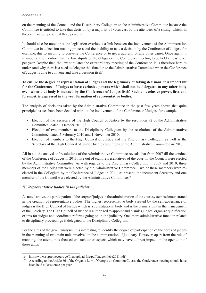on the manning of the Council and the Disciplinary Collegium to the Administrative Committee because the Committee is entitled to take that decision by a majority of votes cast by the attendees of a sitting, which, in theory, may comprise just three persons.

It should also be noted that the legislation overlooks a link between the involvement of the Administration Committee in a decision-making process and the inability to take a decision by the Conference of Judges, for example, due to inability to convene the Conference or to get a quorum, or any other cause. Once again, it is important to mention that the law stipulates the obligation the Conference meeting to be held at least once per year. Despite that, the law stipulates the extraordinary meeting of the Conference. It is therefore hard to understand why there is a need to delegate this function to the Administrative Committee when the Conference of Judges is able to convene and take a decision itself.

#### **To ensure the degree of representation of judges and the legitimacy of taking decisions, it is important for the Conference of Judges to have exclusive powers which shall not be delegated to any other body even when that body is manned by the Conference of Judges itself. Such an exclusive power, first and**  $\mathbf{r}$ **foremost, is expressed in the very formation of representative bodies.**

The analysis of decisions taken by the Administrative Committee in the past few years shows that quite principled issues have been decided without the involvement of the Conference of Judges, for example:

- Election of the Secretary of the High Council of Justice by the resolution #2 of the Administrative Committee, dated 6 October 2011;<sup>16</sup>
- Election of two members to the Disciplinary Collegium by the resolutions of the Administrative Committee, dated 5 February 2010 and 1 November 2010;
- • Election of members to the High Council of Justice and the Disciplinary Collegium as well as the Secretary of the High Council of Justice by the resolutions of the Administrative Committee in 2010.

All in all, the analysis of resolutions of the Administrative Committee reveals that from 2007 till the conduct of the Conference of Judges in 2011, five out of eight representatives of the court in the Council were elected by the Administrative Committee. As with regards to the Disciplinary Collegium, in 2009 and 2010, three members of the Collegium were elected by the Administrative Committee. Two of these members were reelected in the Collegium by the Conference of Judges in 2011. At present, the incumbent Secretary and one member of the Council were elected by the Administrative Committee.<sup>17</sup>

#### *IV. Representative bodies in the judiciary*

As noted above, the participation of the corps of judges in the administration of the court system is demonstrated in the creation of representative bodies. The highest representative body created by the self-governance of judges is the High Council of Justice which is a constitutional body and is the primary unit in the management of the judiciary. The High Council of Justice is authorized to appoint and dismiss judges, organize qualification exams for judges and coordinate reforms going on in the judiciary. One more administrative function related to disciplinary proceedings is delegated to the Disciplinary Collegium.

For the aims of the given analysis, it is interesting to identify the degree of participation of the corps of judges in the manning of two main units involved in the administration of judiciary. However, apart from the rule of manning, the attention is focused on such other aspects which may have a direct impact on the operation of these units.

<sup>16</sup> http://www.supremecourt.ge/files/upload-file/pdf/dadgenileba2011.pdf

<sup>17</sup> According to the Article 66 of the Organic Law of Georgia on Common Courts, the Conference meeting should have been held at least once per year.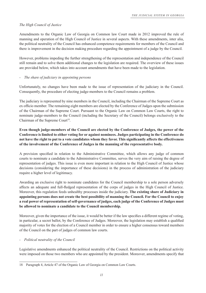# *The High Council of Justice*

Amendments to the Organic Law of Georgia on Common law Court made in 2012 improved the rule of manning and operation of the High Council of Justice in several aspects. With these amendments, inter alia, the political neutrality of the Council has enhanced competence requirements for members of the Council and there is improvement in the decision making procedure regarding the appointment of a judge by the Council.

However, problems impeding the further strengthening of the representation and independence of the Council still remain and to solve them additional changes to the legislation are required. The overview of these issues are provided below, which takes into account amendments that have been made to the legislation.

# *- The share of judiciary in appointing persons*

Unfortunately, no changes have been made to the issue of representation of the judiciary in the Council. Consequently, the procedure of electing judge-members to the Council remains a problem.

The judiciary is represented by nine members in the Council, including the Chairman of the Supreme Court as ex officio member. The remaining eight members are elected by the Conference of Judges upon the submission of the Chairman of the Supreme Court. Pursuant to the Organic Law on Common Law Courts, the right to nominate judge-members to the Council (including the Secretary of the Council) belongs exclusively to the Chairman of the Supreme Court<sup>18</sup>.

# **Even though judge-members of the Council are elected by the Conference of Judges, the power of the Conference is limited to either voting for or against nominees. Judges participating in the Conference do not have the right to put to a vote candidates whom they favor. This significantly affects the effectiveness of the involvement of the Conference of Judges in the manning of the representative body.**

A provision specified in relation to the Administrative Committee, which allows any judge of common courts to nominate a candidate to the Administrative Committee, serves the very aim of raising the degree of representation of judges. This issue is even more important in relation to the High Council of Justice whose decisions (considering the importance of these decisions) in the process of administration of the judiciary require a higher level of legitimacy.

Awarding an exclusive right to nominate candidates for the Council membership to a sole person adversely affects an adequate and full-fledged representation of the corps of judges in the High Council of Justice. Moreover, this regulation feeds unhealthy processes inside the judiciary. **The existing share of Judiciary in appointing persons does not create the best possibility of manning the Council. For the Council to enjoy a real power of representation of self-governance of judges, each judge of the Conference of Judges must be allowed to nominate a candidate to the Council membership.**

Moreover, given the importance of the issue, it would be better if the law specifies a different regime of voting, in particular, a secret ballot, by the Conference of Judges. Moreover, the legislation may establish a qualified majority of votes for the election of a Council member in order to ensure a higher consensus toward members of the Council on the part of judges of common law courts.

#### *- Political neutrality of the Council*

Legislative amendments enhanced the political neutrality of the Council. Restrictions on the political activity were imposed on those two members who are appointed by the president. Moreover, amendments specify that

<sup>18</sup> Paragraph 4, Article 47 of the Organic Law of Georgia on Common Law Courts.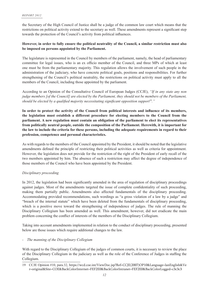the Secretary of the High Council of Justice shall be a judge of the common law court which means that the restrictions on political activity extend to the secretary as well. These amendments represent a significant step towards the protection of the Council's activity from political influences.

### **However, in order to fully ensure the political neutrality of the Council, a similar restriction must also be imposed on persons appointed by the Parliament.**

The legislature is represented in the Council by members of the parliament, namely, the head of parliamentary committee for legal issues, who is an ex officio member of the Council, and three MPs of which at least one must be from the parliamentary majority. This regulation allows the involvement of such people in the administration of the judiciary, who have concrete political goals, positions and responsibilities. For further strengthening of the Council's political neutrality, the restrictions on political activity must apply to all the members of the Council, including those appointed by the parliament.

According to an Opinion of the Consultative Council of European Judges (CCJE), *"If in any state any non judge members [of the Council] are elected by the Parliament, they should not be members of the Parliament, should be elected by a qualified majority necessitating significant opposition support*<sup>19</sup>.<sup>*"*</sup>

In order to protect the activity of the Council from political interests and influence of its members, **the legislation must establish a different procedure for electing members to the Council from the parliament. A new regulation must contain an obligation of the parliament to elect its representatives from politically neutral people, outside the composition of the Parliament. Herewith, it is important for the law to include the criteria for these persons, including the adequate requirements in regard to their profession, competence and personal characteristics.** 

As with regards to the members of the Council appointed by the President, it should be noted that the legislative amendments defined the principle of restricting their political activities as well as criteria for appointment. However, the legislation does not provide for the restriction of the right of the President of early recall of the two members appointed by him. The absence of such a restriction may affect the degree of independence of those members of the Council who have been appointed by the President.

#### *Disciplinary proceeding*

In 2012, the legislation had been significantly amended in the area of regulation of disciplinary proceedings against judges. Most of the amendments targeted the issue of complete confidentiality of such proceeding, making them partially public. Amendments also affected fundamentals of the disciplinary proceeding. Accommodating provided recommendations, such wordings as "a gross violation of a law by a judge" and "breach of the internal statute" which have been deleted from the fundamentals of disciplinary proceeding, which is a positive move toward the strengthening of independence of judges. The rule of manning the Disciplinary Collegium has been amended as well. This amendment, however, did not eradicate the main problem concerning the conflict of interests of the members of the Disciplinary Collegium.

Taking into account amendments implemented in relation to the conduct of disciplinary proceeding, presented below are those issues which require additional changes to the law.

#### *- The manning of the Disciplinary Collegium*

With regard to the Disciplinary Collegium of the judges of common courts, it is necessary to review the place of the Disciplinary Collegium in the judiciary as well as the role of the Conference of Judges in staffing the Collegium.

<sup>19</sup> CCJE Opinion #10, para.32, https://wcd.coe.int/ViewDoc.jsp?Ref=CCJE(2007)OP10&Language=lanEnglish&Ve r=original&Site=COE&BackColorInternet=FEF2E0&BackColorIntranet=FEF2E0&BackColorLogged=c3c3c3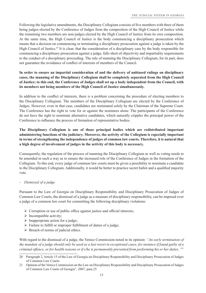Following the legislative amendments, the Disciplinary Collegium consists of five members with three of them being judges elected by the Conference of Judges from the composition of the High Council of Justice while the remaining two members are non-judges elected by the High Council of Justice from its own composition. At the same time, the High Council of Justice is the body commencing a disciplinary prosecution which means that a decision on commencing or terminating a disciplinary prosecution against a judge is taken by the High Council of Justice.<sup>20</sup> It is clear, that the consideration of a disciplinary case by the body responsible for commencing a disciplinary prosecution against a judge, falls short of objectivity and impartiality requirements to the conduct of a disciplinary proceeding. The rule of manning the Disciplinary Collegium, for its part, does not guarantee the avoidance of conflict of interests of members of the Council.

# **In order to ensure an impartial consideration of and the delivery of unbiased rulings on disciplinary cases, the manning of the Disciplinary Collegium shall be completely separated from the High Council of Justice; to this end, the Conference of Judges shall set up a body independent from the Council, with its members not being members of the High Council of Justice simultaneously.**

In addition to the conflict of interests, there is a problem concerning the procedure of electing members to the Disciplinary Collegium. The members of the Disciplinary Collegium are elected by the Conference of Judges. However, even in that case, candidates are nominated solely by the Chairman of the Supreme Court. The Conference has the right to vote for or against the nominees alone. The participants of the Conference do not have the right to nominate alternative candidates, which naturally cripples the principal power of the Conference to influence the process of formation of representative bodies.

# **The Disciplinary Collegium is one of those principal bodies which are redistributed important administering functions of the judiciary. Moreover, the activity of the Collegium is especially important in terms of strengthening the independence of judges of common law courts. Therefore, it is natural that a high degree of involvement of judges in the activity of this body is necessary.**

Consequently, the regulation of the process of manning the Disciplinary Collegium as well as voting needs to be amended in such a way as to ensure the increased role of the Conference of Judges in the formation of the Collegium. To this end, every judge of common law courts must be given a possibility to nominate a candidate to the Disciplinary Collegium. Additionally, it would be better to practice secret ballot and a qualified majority vote.

# *- Dismissal of a judge*

Pursuant to the Law of Georgia on Disciplinary Responsibility and Disciplinary Prosecution of Judges of Common Law Courts, the dismissal of a judge as a measure of disciplinary responsibility, can be imposed over a judge of a common law court for committing the following disciplinary violations:

- $\triangleright$  Corruption or use of public office against justice and official interests;
- $\triangleright$  Incompatible activity;
- $\triangleright$  Inappropriate action for a judge;
- $\triangleright$  Failure to fulfill or improper fulfillment of duties of a judge;
- $\triangleright$  Breach of norms of judicial ethics.

With regard to the dismissal of a judge, the Venice Commission noted in its opinion: *"An early termination of the mandate of a judge should only be used as a last resort in exceptional cases, for instance if found guilty of a criminal offence, or for health reasons or if s/he is permanently prevented from performing his or her duties."*<sup>21</sup>

<sup>20</sup> Paragraph 2, Article 15 of the Law of Georgia on Disciplinary Responsibility and Disciplinary Prosecution of Judges of Common Law Courts.

<sup>21</sup> Opinion of the Venice Commission on the Law on Disciplinary Responsibility and Disciplinary Prosecution of Judges of Common Law Courts of Georgia", 2007, para.25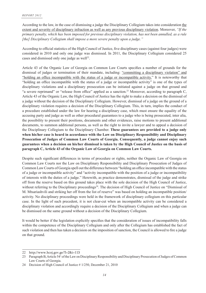According to the law, in the case of dismissing a judge the Disciplinary Collegium takes into consideration the extent and severity of disciplinary infraction as well as any previous disciplinary violation. Moreover, *"If the primary penalty, which has been imposed for previous disciplinary violation, has not been annulled, as a rule [the] Disciplinary Collegium shall impose a more severe penalty upon a judge."*

According to official statistics of the High Council of Justice, five disciplinary cases (against four judges) were considered in 2010 and only one judge was dismissed. In 2011, the Disciplinary Collegium considered 25 cases and dismissed only one judge as well<sup>22</sup>.

Article 43 of the Organic Law of Georgia on Common Law Courts specifies a number of grounds for the dismissal of judges or termination of their mandate, including: "committing a disciplinary violation" and "holding an office incompatible with the status of a judge or incompatible activity." It is noteworthy that "holding an office incompatible with the status of a judge or incompatible activity" is one of the types of disciplinary violations and a disciplinary prosecution can be initiated against a judge on that ground and "a severe reprimand" or "release from office" applied as a sanction.<sup>23</sup> Moreover, according to paragraph C, Article 43 of the Organic Law, the High Council of Justice has the right to make a decision on the dismissal of a judge without the decision of the Disciplinary Collegium. However, dismissal of a judge on the ground of a disciplinary violation requires a decision of the Disciplinary Collegium. This, in turn, implies the conduct of a procedure established under the law for hearing a disciplinary case, which must ensure the equality of the accusing party and judge as well as other procedural guarantees to a judge who is being prosecuted, inter alia, the possibility to present their positions, documents and other evidences, raise motions to present additional documents, to summon additional persons, as well as the right to invite a lawyer and to appeal a decision of the Disciplinary Collegium to the Disciplinary Chamber. **These guarantees are provided to a judge only when his/her case is heard in accordance with the Law on Disciplinary Responsibility and Disciplinary Prosecution of Judges of Common Law Courts of Georgia. Consequently, a judge cannot enjoy such guarantees when a decision on his/her dismissal is taken by the High Council of Justice on the basis of paragraph C, Article 43 of the Organic Law of Georgia on Common Law Courts.**

Despite such significant differences in terms of procedure or rights, neither the Organic Law of Georgia on Common Law Courts nor the Law on Disciplinary Responsibility and Disciplinary Prosecution of Judges of Common Law Courts of Georgia spell out the difference between "holding an office incompatible with the status of a judge or incompatible activity" and "activity incompatible with the position of a judge or incompatibility of interests with the duties of a judge." Herewith, as practice demonstrates, dismissal of the judge and strike off from the reserve based on this ground takes place with the sole decision of the High Council of Justice, without referring to the Disciplinary proceedings<sup>24</sup>. The decision of High Council of Justice on "Dismissal of M. Mtsariashvili and striking her off from the list of reserve" was based on holding an incompatible position/ activity. No disciplinary proceedings were held in the framework of disciplinary collegium on this particular case. In the light of such precedent, it is not clear-cut when an incompatible activity can be considered a disciplinary violation and accordingly require a decision of the Disciplinary Collegium and when a judge can be dismissed on the same ground without a decision of the Disciplinary Collegium.

It would be better if the legislation explicitly specifies that the consideration of issues of incompatibility falls within the competence of the Disciplinary Collegium and only after the Collegium has established the fact of such violation and then has taken a decision on the imposition of sanction, the Council is allowed to fire a judge on that ground.

<sup>22</sup> http://www.hcoj.gov.ge/?l=2&i=113

<sup>23</sup> Paragraph B, Article 54<sup>1</sup> of the Law on Disciplinary Responsibility and Disciplinary Prosecution of Judges of Common Law Courts of Georgia.

<sup>24</sup> Decision of High Council of Justice # 1/250, December 21, 2010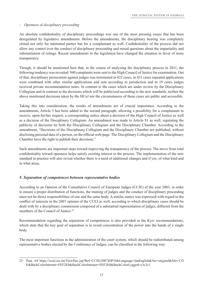#### *- Openness of disciplinary proceeding*

An absolute confidentiality of disciplinary proceedings was one of the most pressing issues that has been deregulated by legislative amendments. Before the amendments, the disciplinary hearing was completely closed not only for interested parties but for a complainant as well. Confidentiality of the process did not allow any control over the conduct of disciplinary proceeding and raised questions about the impartiality and substantiation of rulings. Recent amendments in the legislation have changed the situation in favor of more transparency.

Though, it should be mentioned here that, in the course of analyzing the disciplinary process in 2011, the following tendency was revealed: 940 complaints were sent to the High Council of Justice for examination. Out of that, disciplinary prosecution against judges was terminated in 422 cases, in 431 cases repeated applications were combined with other similar applications and sent according to jurisdiction and in 19 cases judges received private recommendation notes. In contrast to the cases which are under review by the Disciplinary Collegium and in contrast to the decisions which will be publicized according to the new standards, neither the above mentioned decisions taken by the HCoJ nor the circumstances of those cases are public and accessible.

Taking this into consideration, the results of amendments are of crucial importance. According to the amendments, Article 5 has been added to the second paragraph, allowing a possibility for a complainant to receive, upon his/her request, a corresponding notice about a decision of the High Council of Justice as well as a decision of the Disciplinary Collegium. An amendment was made to Article 81 as well, regulating the publicity of decisions by both the Disciplinary Collegium and the Disciplinary Chamber. According to the amendment, "Decisions of the Disciplinary Collegium and the Disciplinary Chamber are published, without disclosing personal data of a person, on the official web-page. The Disciplinary Collegium and the Disciplinary Chamber have the right to publish their decisions."

Such amendments are important steps toward improving the transparency of the process. The move from total confidentiality toward openness helps satisfy existing interest to the process. The implementation of the new standard in practice will also reveal whether there is a need of additional changes and if yes, of what kind and in what areas.

#### *V. Separation of competences between representative bodies*

According to an Opinion of the Consultative Council of European Judges (CCJE) of the year 2003, in order to ensure a proper distribution of functions, the training of judges and the conduct of disciplinary proceeding must not be direct responsibilities of one and the same body. A similar stance was expressed with regard to the conflict of interests in the 2007 opinion of the CCEJ as well, according to which disciplinary cases should be dealt with by a disciplinary commission composed of a substantial representation of judges, different from the members of the Council of Justice.<sup>25</sup>

Recommendation regarding the separation of competences is also provided in the Kyiv recommendations, which state that the key goal of separation is to avoid concentration of the power into the hands of a single body.

The most important functions in the administration of the court system, which should be redistributed among representative bodies elected by the Conference of Judges, can be classified in the following way:

<sup>25</sup> Para. 64 https://wcd.coe.int/ViewDoc.jsp?Ref=CCJE(2007)OP10&Language=lanEnglish&Ver=original&Site=CO E&BackColorInternet=FEF2E0&BackColorIntranet=FEF2E0&BackColorLogged=c3c3c3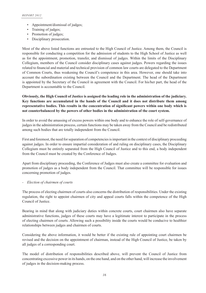- Appointment/dismissal of judges;
- Training of judges;
- Promotion of judges;
- Disciplinary prosecution.

Most of the above listed functions are entrusted to the High Council of Justice. Among them, the Council is responsible for conducting a competition for the admission of students to the High School of Justice as well as for the appointment, promotion, transfer, and dismissal of judges. Within the limits of the Disciplinary Collegium, members of the Council consider disciplinary cases against judges. Powers regarding the issues related to financial and material and technical provision of common law courts are delegated to the Department of Common Courts, thus weakening the Council's competence in this area. However, one should take into account the subordination existing between the Council and the Department. The head of the Department is appointed by the Secretary of the Council in agreement with the Council. For his/her part, the head of the Department is accountable to the Council.

## **Obviously, the High Council of Justice is assigned the leading role in the administration of the judiciary. Key functions are accumulated in the hands of the Council and it does not distribute them among**  representative bodies. This results in the concentration of significant powers within one body which is **not counterbalanced by the powers of other bodies in the administration of the court system.**

In order to avoid the amassing of excess powers within one body and to enhance the role of self-governance of judges in the administration process, certain functions may be taken away from the Council and be redistributed among such bodies that are totally independent from the Council.

First and foremost, the need for separation of competencies is important in the context of disciplinary proceeding against judges. In order to ensure impartial consideration of and ruling on disciplinary cases, the Disciplinary Collegium must be entirely separated from the High Council of Justice and to this end, a body independent from the Council must be created by the Conference of Judges.

Apart from disciplinary proceeding, the Conference of Judges must also create a committee for evaluation and promotion of judges as a body independent from the Council. That committee will be responsible for issues concerning promotion of judges.

#### *- Election of chairmen of courts*

The process of electing chairmen of courts also concerns the distribution of responsibilities. Under the existing regulation, the right to appoint chairmen of city and appeal courts falls within the competence of the High Council of Justice.

Bearing in mind that along with judiciary duties within concrete courts, court chairmen also have separate administrative functions, judges of these courts may have a legitimate interest to participate in the process of electing chairmen of courts. Allowing such a possibility inside the courts would be conducive to healthier relationships between judges and chairmen of courts.

Considering the above information, it would be better if the existing rule of appointing court chairmen be revised and the decision on the appointment of chairman, instead of the High Council of Justice, be taken by all judges of a corresponding court.

The model of distribution of responsibilities described above, will prevent the Council of Justice from concentrating excessive power in its hands, on the one hand, and on the other hand, will increase the involvement of judges in the decision-making process.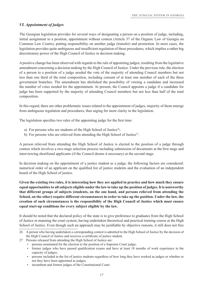# *VI. Appointment of judges*

The Georgian legislation provides for several ways of designating a person on a position of judge, including, initial assignment to a position, appointment without contest (Article 37 of the Organic Law of Georgia on Common Law Courts), putting responsibility on another judge (transfer) and promotion. In most cases, the legislation provides quite ambiguous and insufficient regulation of these procedures, which implies a rather big discretionary power of the High Council of Justice in decision making.

A positive change has been observed with regards to the rule of appointing judges, resulting from the legislative amendment concerning a decision making by the High Council of Justice. Under the previous rule, the election of a person to a position of a judge needed the vote of the majority of attending Council members but not less than one third of the total composition, including consent of at least one member of each of the three government branches. The amendment has abolished the possibility of vetoing a candidate and increased the number of votes needed for the appointment. At present, the Council appoints a judge if a candidate for judge has been supported by the majority of attending Council members but not less than half of the total composition.

In this regard, there are other problematic issues related to the appointment of judges, majority of them emerge from ambiguous regulation and procedures, thus urging for more clarity in the legislation.

The legislation specifies two rules of the appointing judge for the first time:

- a) For persons who are students of the High School of Justice<sup>26</sup>;
- b) For persons who are relieved from attending the High School of Justice<sup>27</sup>.

A person relieved from attending the High School of Justice is elected to the position of a judge through contest which involves a two-stage selection process including submission of documents at the first stage and interviewing shortlisted applicants (if the Council deems it necessary) at the second stage.

In decision making on the appointment of a justice student as a judge, the following factors are considered: numerical order of an applicant on the qualified list of justice students and the evaluation of an independent board of the High School of justice.

**Given the existing two rules, it is interesting how they are applied in practice and how much they ensure equal opportunities to all subjects eligible under the law to take up the position of judges. It is noteworthy that different groups of subjects (students, on the one hand, and persons relieved from attending the School, on the other) require different circumstances in order to take up the position. Under the law, the creation of such circumstances is the responsibility of the High Council of Justice which must ensure equal start-up conditions for every subject eligible by the law.**

It should be noted that the declared policy of the state is to give preference to graduates from the High School of Justice in manning the court system, having undertaken theoretical and practical training course at the High School of Justice. Even though such an approach may be justifiable by objective reasons, it still does not free

27 Persons released from attending the High School of Justice are:

incumbent and former judges of the Constitutional Court.

<sup>26</sup> A person who having undertaken a corresponding contest is admitted to the High School of Justice by the decision of the High Council of Justice and receives a certificate of justice student.

<sup>•</sup> persons nominated for the election to the position of a Supreme Court judge;

<sup>•</sup> former judges who have passed qualification exams and have at least 18 months of work experience in the capacity of judges;

<sup>•</sup> persons included in the list of justice students regardless of how long they have worked as judges or whether or not they have been appointed as judges;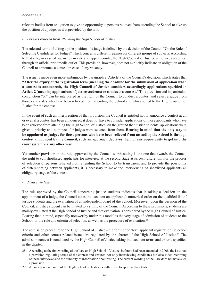relevant bodies from obligation to give an opportunity to persons relieved from attending the School to take up the position of a judge, as it is provided by the law.

#### *- Persons relieved from attending the High School of Justice*

The rule and terms of taking up the position of a judge is defined by the decision of the Council "On the Rule of Selecting Candidates for Judges" which concerns different regimes for different groups of subjects. According to that rule, in case of vacancies in city and appeal courts, the High Council of Justice announces a contest through an official print media outlet. This provision, however, does not explicitly indicate an obligation of the Council to announce a contest in case of any vacancy.

The issue is made even more ambiguous by paragraph 2, Article 7 of the Council's decision, which states that **"After the expiry of the registration term (meaning the deadline for the submission of application when a** contest is announced), the High Council of Justice considers accordingly applications specified in **Article 2 (meaning applications of justice students) or conducts a contest."** This provision and in particular, conjunction "or" can be interpreted as the right of the Council to conduct a contest and select a judge from those candidates who have been relieved from attending the School and who applied to the High Council of Justice for the contest.

In the event of such an interpretation of that provision, the Council is entitled not to announce a contest at all or even if a contest has been announced, it does not have to consider applications of those applicants who have been relieved from attending the High School of Justice, on the ground that justice students' applications were given a priority and nominees for judges were selected from them. **Bearing in mind that the only way to be appointed as judges for those persons who have been relieved from attending the School is through contest announced by the Council, such an approach deprives them of any opportunity to get into the court system via any other way.**

Yet another provision in the rule approved by the Council worth noting is the one that awards the Council the right to call shortlisted applicants for interview at the second stage at its own discretion. For the process of selection of persons relieved from attending the School to be transparent and to provide the possibility of differentiating between applicants, it is necessary to make the interviewing of shortlisted applicants an obligatory stage of the contest.

#### *- Justice students*

The rule approved by the Council concerning justice students indicates that in taking a decision on the appointment of a judge, the Council takes into account an applicant's numerical order on the qualified list of justice students and the evaluation of an independent board of the School. Moreover, upon the decision of the Council, a justice student can be invited to a sitting of the Council. According to these provisions, students are mainly evaluated at the High School of Justice and that evaluation is considered by the High Council of Justice. Bearing that in mind, especially noteworthy under this model is the very stage of admission of students to the School, or the rule and criteria of selection, as well as the procedure of evaluation.<sup>28</sup>

The admission procedure to the High School of Justice - the form of contest, applicant registration, selection criteria and other contest-related issues are regulated by the charter of the High School of Justice.29 The admission contest is conducted by the High Council of Justice taking into account terms and criteria specified in the charter.

<sup>28</sup> According to the first wording of the Law on High School of Justice, before it had been amended in 2008, the Law had a provision regulating terms of the contest and ensured not only interviewing candidates but also video recording of these interviews and the publicity of information about voting. The current wording of the Law does not have such a provision.

<sup>29</sup> An independent board of the High School of Justice is authorized to approve the charter.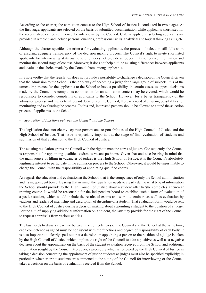According to the charter, the admission contest to the High School of Justice is conducted in two stages. At the first stage, applicants are selected on the basis of submitted documentation while applicants shortlisted for the second stage can be summoned for interviews by the Council. Criteria applied in selecting applicants are provided in Article 8 and include personal qualities, professional skills, analytical and logical thinking skills, etc.

Although the charter specifies the criteria for evaluating applicants, the process of selection still falls short of ensuring adequate transparency of the decision making process. The Council's right to invite shortlisted applicants for interviewing at its own discretion does not provide an opportunity to receive information and monitor the second stage of contest. Moreover, it does not help outline existing differences between applicants and evaluate the choice made by the Council from among applicants.

It is noteworthy that the legislation does not provide a possibility to challenge a decision of the Council. Given that the admission to the School is the only way of becoming a judge for a large group of subjects, it is of the utmost importance for the applicants to the School to have a possibility, in certain cases, to appeal decisions made by the Council. A complaints commission for an admission contest may be created, which would be responsible to consider complaints of applicants to the School. However, for a better transparency of the admission process and higher trust toward decisions of the Council, there is a need of ensuring possibilities for monitoring and evaluating the process. To this end, interested persons should be allowed to attend the selection process of applicants to the School.

# *- Separation of functions between the Council and the School*

The legislation does not clearly separate powers and responsibilities of the High Council of Justice and the High School of Justice. That issue is especially important at the stage of final evaluation of students and submission of that evaluation to the High Council of Justice.

The existing regulation grants the Council with the right to man the corps of judges. Consequently, the Council is responsible for appointing qualified cadres to vacant positions. Given that and also bearing in mind that the main source of filling in vacancies of judges is the High School of Justice, it is the Council's absolutely legitimate interest to participate in the admission process to the School. Otherwise, it would be unjustifiable to charge the Council with the responsibility of appointing qualified cadres.

As regards the education and evaluation at the School, that is the competence of only the School administration and its independent board. Bearing that in mind, the legislation needs to clearly define what type of information the School should provide to the High Council of Justice about a student after he/she completes a ten-year training course. It would be reasonable for the independent board to establish such a form of evaluation of a justice student, which would include the results of exams and work at seminars as well as evaluation by teachers and leaders of internship and description of discipline of a student. That evaluation form would be sent to the High Council of Justice during a decision making about appointing a student to the position of a judge. For the aim of supplying additional information on a student, the law may provide for the right of the Council to request appraisals from various entities.

The law needs to draw a clear line between the competencies of the Council and the School at the same time, each competence assigned must be consistent with the functions and degree of responsibility of each body. It is also important to clearly spell out that a decision on appointing a person to the position of a judge is taken by the High Council of Justice, which implies the right of the Council to take a positive as well as a negative decision about the appointment on the basis of the student evaluation received from the School and additional information sought by the Council. Moreover, a procedure which is followed by the High Council of Justice in taking a decision concerning the appointment of justice students as judges must also be specified explicitly; in particular, whether or not students are summoned to the sitting of the Council for interviewing or the Council takes a decision on the basis of evaluation received from the School.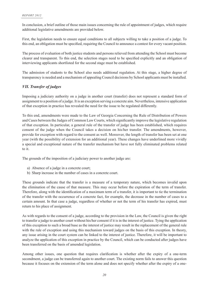In conclusion, a brief outline of those main issues concerning the rule of appointment of judges, which require additional legislative amendments are provided below.

First, the legislation needs to ensure equal conditions to all subjects willing to take a position of a judge. To this end, an obligation must be specified, requiring the Council to announce a contest for every vacant position.

The process of evaluation of both justice students and persons relieved from attending the School must become clearer and transparent. To this end, the selection stages need to be specified explicitly and an obligation of interviewing applicants shortlisted for the second stage must be established.

The admission of students to the School also needs additional regulation. At this stage, a higher degree of transparency is needed and a mechanism of appealing Council decisions by School applicants must be installed.

# *VII. Transfer of judges*

Imposing a judiciary authority on a judge in another court (transfer) does not represent a standard form of assignment to a position of a judge. It is an exception serving a concrete aim. Nevertheless, intensive application of that exception in practice has revealed the need for the issue to be regulated differently.

To this end, amendments were made to the Law of Georgia Concerning the Rule of Distribution of Powers and Cases between the Judges of Common Law Courts, which significantly improve the legislative regulation of that exception. In particular, a general rule of the transfer of judge has been established, which requires consent of the judge when the Council takes a decision on his/her transfer. The amendments, however, provide for exception with regard to the consent as well. Moreover, the length of transfer has been set at one year (with the possibility of extension for an additional year). These changes have underlined more vividly a special and exceptional nature of the transfer mechanism but have not fully eliminated problems related to it.

The grounds of the imposition of a judiciary power to another judge are:

- a) Absence of a judge in a concrete court;
- b) Sharp increase in the number of cases in a concrete court.

These grounds indicate that the transfer is a measure of a temporary nature, which becomes invalid upon the elimination of the cause of that measure. This may occur before the expiration of the term of transfer. Therefore, along with the identification of a maximum term of a transfer, it is important to tie the termination of the transfer with the occurrence of a concrete fact, for example, the decrease in the number of cases to a certain amount. In that case a judge, regardless of whether or not the term of his transfer has expired, must return to his place of assignment.

As with regards to the consent of a judge, according to the provision in the Law, the Council is given the right to transfer a judge to another court without his/her consent if it is in the interest of justice. Tying the application of this exception to such a broad base as the interest of justice may result in the replacement of the general rule with the rule of exception and using this mechanism toward judges on the basis of this exception. In theory, any issue arising in the court system can be linked to the interest of justice. Therefore, it will be important to analyze the application of this exception in practice by the Council, which can be conducted after judges have been transferred on the basis of amended legislation.

Among other issues, one question that requires clarification is whether after the expiry of a one-term secondment, a judge can be transferred again to another court. The existing norm fails to answer this question because it focuses on the extension of the term alone and does not specify whether after the expiry of a one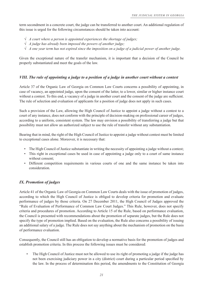term secondment in a concrete court, the judge can be transferred to another court. An additional regulation of this issue is urged for the following circumstances should be taken into account:

- $\sqrt{A}$  *Court where a person is appointed experiences the shortage of judges;*
- ¥ *A judge has already been imposed the powers of another judge;*
- $\sqrt{A}$  *A* one year term has not expired since the imposition on a judge of a judicial power of another judge.

Given the exceptional nature of the transfer mechanism, it is important that a decision of the Council be properly substantiated and meet the goals of the law.

#### *VIII. The rule of appointing a judge to a position of a judge in another court without a contest*

Article 37 of the Organic Law of Georgia on Common Law Courts concerns a possibility of appointing, in case of vacancy, an appointed judge, upon the consent of the latter, to a lower, similar or higher instance court without a contest. To this end, a vacancy of a judge in another court and the consent of the judge are sufficient. The rule of selection and evaluation of applicants for a position of judge does not apply in such cases.

Such a provision of the Law, allowing the High Council of Justice to appoint a judge without a contest to a court of any instance, does not conform with the principle of decision-making on professional career of judges, according to a uniform, consistent system. The law may envision a possibility of transferring a judge but that possibility must not allow an authorized subject to use the rule of transfer without any substantiation.

Bearing that in mind, the right of the High Council of Justice to appoint a judge without contest must be limited to exceptional cases alone. Moreover, it is necessary that:

- The High Council of Justice substantiate in writing the necessity of appointing a judge without a contest;
- This right in exceptional cases be used in case of appointing a judge only to a court of same instance without consent;
- Different competition requirements in various courts of one and the same instance be taken into consideration.

#### *IX. Promotion of judges*

Article 41 of the Organic Law of Georgia on Common Law Courts deals with the issue of promotion of judges, according to which the High Council of Justice is obliged to develop criteria for promotion and evaluate performance of judges by those criteria. On 27 December 2011, the High Council of Judges approved the "Rule of Evaluation of Performance of Common Law Court Judges." This Rule, however, does not specify criteria and procedures of promotion. According to Article 15 of the Rule, based on performance evaluation, the Council is presented with recommendations about the promotion of separate judges, but the Rule does not specify the type of promotion implied. Based on the evaluation, the Rule also concerns a possibility of issuing an additional salary of a judge. The Rule does not say anything about the mechanism of promotion on the basis of performance evaluation.

Consequently, the Council still has an obligation to develop a normative basis for the promotion of judges and establish promotion criteria. In this process the following issues must be considered:

 The High Council of Justice must not be allowed to use its right of promoting a judge if the judge has not been exercising judiciary power in a city (district) court during a particular period specified by the law. In the process of determination this period, the amendments to the Constitution of Georgia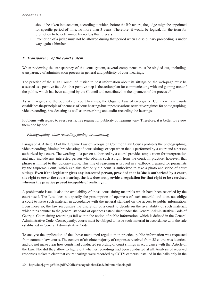should be taken into account, according to which, before the life tenure, the judge might be appointed for specific period of time, no more than 3 years. Therefore, it would be logical, for the term for promotion to be determined by no less than 3 years.

• Promotion of a judge must not be allowed during that period when a disciplinary proceeding is under way against him/her.

## *X. Transparency of the court system*

When reviewing the transparency of the court system, several components must be singled out, including, transparency of administration process in general and publicity of court hearings.

The practice of the High Council of Justice to post information about its sittings on the web-page must be assessed as a positive fact. Another positive step is the action plan for communicating with and gaining trust of the public, which has been adopted by the Council and contributed to the openness of the process.30

As with regards to the publicity of court hearings, the Organic Law of Georgia on Common Law Courts establishes the principle of openness of court hearings but imposes various restrictive regimes for photographing, video recording, broadcasting as well as transcribing and audio-recording the hearings.

Problems with regard to every restrictive regime for publicity of hearings vary. Therefore, it is better to review them one by one.

#### *- Photographing, video recording, ¿ lming, broadcasting*

Paragraph 4, Article 13 of the Organic Law of Georgia on Common Law Courts prohibits the photographing, video recording, filming, broadcasting of court sittings except when that is performed by a court and a person authorized by a court. The wording – "a person authorized by a court" provides ample room for interpretation and may include any interested person who obtains such a right from the court. In practice, however, that phrase is limited to the judiciary alone. This line of reasoning is proved in a textbook prepared for journalists by the Supreme Court, which explains that only the court is authorized to take a photo and video of court sittings. **Even if the legislator gives any interested person, provided that he/she is authorized by a court, the right to cover the court hearing, the law does not provide a regulation for that right to be exercised whereas the practice proved incapable of realizing it.** 

A problematic issue is also the availability of those court sitting materials which have been recorded by the court itself. The Law does not specify the presumption of openness of such material and does not oblige a court to issue such material in accordance with the general standard on the access to public information. Even more so, the law recognizes the discretion of a court to decide on the availability of such material, which runs counter to the general standard of openness established under the General Administrative Code of Georgia. Court sitting recordings fall within the notion of public information, which is defined in the General Administrative Code. Consequently, courts must be obliged to issue such material in accordance with the rule established in General Administrative Code.

To analyze the application of the above mentioned regulation in practice, public information was requested from common law courts. The content of absolute majority of responses received from 38 courts was identical and did not make clear how courts had conducted recording of court sittings in accordance with that Article of the Law. Nor did they allow to figure out whether recordings had been conducted at all. Analysis of received responses makes it clear that court hearings were recorded by CCTV cameras installed in the halls only in the

<sup>30</sup> http://hcoj.gov.ge/files/pdf%20files/sazogadoebasTan%20komunikacia.pdf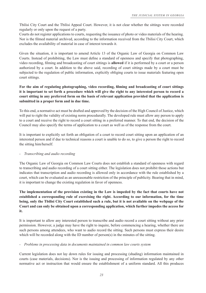Tbilisi City Court and the Tbilisi Appeal Court. However, it is not clear whether the sittings were recorded regularly or only upon the request of a party.

Courts do not register applications to courts, requesting the issuance of photo or video materials of the hearing. Nor is the filmed material archived, according to the information received from the Tbilisi City Court, which excludes the availability of material in case of interest towards it.

Given the situation, it is important to amend Article 13 of the Organic Law of Georgia on Common Law Courts. Instead of prohibiting, the Law must define a standard of openness and specify that photographing, video recording, filming and broadcasting of court sittings is **allowed** if it is performed by a court or a person authorized by a court. In addition to the above said, recording of court sittings made by a court must be subjected to the regulation of public information, explicitly obliging courts to issue materials featuring open court sittings.

# **For the aim of regulating photographing, video recording, ¿ lming and broadcasting of court sittings it is important to set forth a procedure which will give the right to any interested person to record a court sitting in any preferred form on the basis of relevant application provided that the application is submitted in a proper form and in due time.**

To this end, a normative act must be drafted and approved by the decision of the High Council of Justice, which will put to right the validity of existing norm procedurally. The developed rule must allow any person to apply to a court and receive the right to record a court sitting in a preferred manner. To that end, the decision of the Council may also specify the terms of application to a court as well as of the response from the court.

It is important to explicitly set forth an obligation of a court to record court sitting upon an application of an interested person and if due to technical reasons a court is unable to do so, to give a person the right to record the sitting him/herself.

#### *- Transcribing and audio recording*

The Organic Law of Georgia on Common Law Courts does not establish a standard of openness with regard to transcribing and audio recording of a court sitting either. The legislation does not prohibit those actions but indicates that transcription and audio recording is allowed only in accordance with the rule established by a court, which can be evaluated as an unreasonable restriction of the principle of publicity. Bearing that in mind, it is important to change the existing regulation in favor of openness.

**The implementation of the provision existing in the Law is impeded by the fact that courts have not established a corresponding rule of exercising the right. According to our information, for the time being, only the Tbilisi City Court established such a rule, but it is not available on the webpage of the Court and can only be obtained upon a corresponding application, which further impedes the access for it.**

It is important to allow any interested person to transcribe and audio record a court sitting without any prior permission. However, a judge may have the right to inquire, before commencing a hearing, whether there are such persons among attendees, who want to audio record the sitting. Such persons must express their desire which will be recorded along with the ID number of person(s) in the minutes of the sitting.

#### *- Problems in processing data in documents maintained in common law courts system*

Current legislation does not lay down rules for issuing and processing (shading) information maintained in courts (case materials, decisions). Nor is the issuing and processing of information regulated by any other normative act or instruction that would ensure the establishment of a uniform standard. All this produces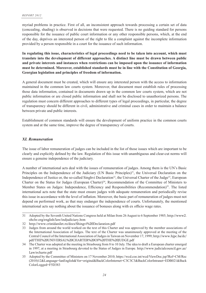myriad problems in practice. First of all, an inconsistent approach towards processing a certain set of data (concealing, shading) is observed in decisions that were requested. There is no guiding standard for persons responsible for the issuance of public court information or any other responsible persons, which, at the end of the day, deprives an interested person of the right to file a complaint against the incomplete information provided by a person responsible in a court for the issuance of such information.

**In regulating this issue, characteristics of legal proceedings need to be taken into account, which must translate into the development of different approaches. A distinct line must be drawn between public and private interests and instances when restrictions can be imposed upon the issuance of information must be determined. Moreover, established standards must be in line with the Constitution of Georgia, Georgian legislation and principles of freedom of information.**

A general document must be created, which will ensure any interested person with the access to information maintained in the common law courts system. Moreover, that document must establish rules of processing those data information, contained in documents drawn up in the common law courts system, which are not public information or are closed public information and shall not be disclosed to unauthorized persons. The regulation must concern different approaches to different types of legal proceedings, in particular, the degree of transparency should be different in civil, administrative and criminal cases in order to maintain a balance between private and public interests.

Establishment of common standards will ensure the development of uniform practice in the common courts system and at the same time, improve the degree of transparency of courts.

#### *XI. Remuneration*

The issue of labor remuneration of judges can be included in the list of those issues which are important to be clearly and explicitly defined by the law. Regulation of this issue with unambiguous and clear-cut norms will ensure a genuine independence of the judiciary.

A number of international acts deal with the issues of remuneration of judges. Among them is the UN's Basic Principles on the Independence of the Judiciary (UN Basic Principles)<sup>31</sup>, the Universal Declaration on the Independence of Justice or, the so-called Singhvi Declaration<sup>32</sup>, the Universal Charter of the Judge<sup>33</sup>, European Charter on the Status for Judges (European Charter)<sup>34</sup>, Recommendation of the Committee of Ministers to Member States on Judges: Independence, Efficiency and Responsibilities (Recommendation)<sup>35</sup>. The listed international acts note that the state must ensure judges with adequate remuneration and periodically revise this issue in accordance with the level of inflation. Moreover, the basic part of remuneration of judges must not depend on performed work, as that may endanger the independence of courts. Unfortunately, the mentioned international acts say nothing about the issuance of bonuses along with ex officio wage rates.

<sup>31</sup> Adopted by the Seventh United Nations Congress held at Milan from 26 August to 6 September 1985; http://www2. ohchr.org/english/law/indjudiciary.htm

<sup>32</sup> http://www.cristidanilet.ro/docs/Shingvi%20Declaration.pdf

<sup>33</sup> Judges from around the world worked on the text of this Charter and was approved by the member associations of the International Association of Judges. The text of the Charter was unanimously approved at the meeting of the Central Council of the International Association of Judges in Taiwan on November 17, 1999; http://www.hjpc.ba/dc/ pdf/THE%20UNIVERSAL%20CHARTER%20OF%20THE%20JUDGE.pdf

<sup>34</sup> The Charter was adopted at the meeting in Strasbourg from 8 to 10 July. The idea to draft a European charter emerged in 1997, at a meeting in Strasbourg devoted to the Status of Judges in Europe. http://www.judicialcouncil.gov.az/ Law/echarte.pdf

<sup>35</sup> Adopted by the Committee of Ministers on 17 November 2010; https://wcd.coe.int/wcd/ViewDoc.jsp?Ref=CM/Rec (2010)12&Language=lanEnglish&Ver=original&BackColorInternet=C3C3C3&BackColorIntranet=EDB021&Back ColorLogged=F5D383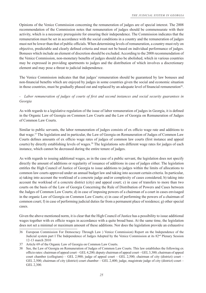Opinions of the Venice Commission concerning the remuneration of judges are of special interest. The 2008 recommendation of the Commission notes that remuneration of judges should be commensurate with their activity, which is a necessary prerequisite for ensuring their independence. The Commission indicates that the remuneration must be set in accordance with the social conditions in a country and the remuneration of judges must not be lower than that of public officials. When determining levels of remuneration, a country must rely on objective, predictable and clearly defined criteria and must not be based on individual performance of judges. Bonuses which include an element of discretion should be excluded. According to the 2008 recommendation of the Venice Commission, non-monetary benefits of judges should also be abolished, which in various countries may be expressed in providing apartments to judges and the distribution of which involves a discretionary element and may pose a threat to judicial independence.

The Venice Commission indicates that that judges' remuneration should be guaranteed by law bonuses and non-financial benefits which are enjoyed by judges in some countries given the social and economic situation in those countries, must be gradually phased out and replaced by an adequate level of financial remuneration<sup>36</sup>.

# *- Labor remuneration of judges of courts of first and second instances and social security guarantees in Georgia*

As with regards to a legislative regulation of the issue of labor remuneration of judges in Georgia, it is defined in the Organic Law of Georgia on Common Law Courts and the Law of Georgia on Remuneration of Judges of Common Law Courts.

Similar to public servants, the labor remuneration of judges consists of ex officio wage rate and additions to that wage.37 The legislation and in particular, the Law of Georgia on Remuneration of Judges of Common Law Courts defines amounts of ex officio wage rates of judges of common law courts (first instance and appeal courts) by directly establishing levels of wages.<sup>38</sup> The legislations sets different wage rates for judges of each instance, which cannot be decreased during the entire tenure of judges.

As with regards to issuing additional wages, as in the case of a public servant, the legislation does not specify directly the amount of additions or regularity of issuance of additions in case of judges either. The legislation entitles the High Council of Justice of Georgia to issue additions to judges within the limits of allocations to common law courts approved under an annual budget law and taking into account certain criteria. In particular, a) taking into account the workload of a concrete judge and/or complexity of cases considered; b) taking into account the workload of a concrete district (city) and appeal court; c) in case of transfers to more than two courts on the basis of the Law of Georgia Concerning the Rule of Distribution of Powers and Cases between the Judges of Common Law Courts; d) in case of imposing powers of a chairman of a court in cases envisaged in the organic Law of Georgia on Common Law Courts; e) in case of performing the powers of a chairman of common court; f) in case of performing judicial duties far from a permanent place of residence; g) other special cases.

Given the above mentioned norm, it is clear that the High Council of Justice has a possibility to issue additional wages together with ex officio wages in accordance with a quite broad base. At the same time, the legislation does not set a minimal or maximum amount of these additions. Nor does the legislation provide an exhaustive

<sup>36</sup> European Commission For Democracy Through Law ) Venice Commission) Report on the Independence of the Judicial system part I The Independence of Judges Adopted by the Venice Commission at its 82<sup>nd</sup> Plenary Session 12-13 march 2010

<sup>37</sup> Article 69 of the Organic Law of Georgia on Common Law Courts.

<sup>38</sup> See, the Law of Georgia on Remuneration of Judges of Common Law Courts. This law establishes the following ex officio rates: chairman of appeal court – GEL 4,200; deputy chairman of appeal court – GEL 3,300; chairman of appeal court chamber (collegium) – GEL 2,900; judge of appeal court – GEL 2,500; chairman of city (district) court – GEL 2,500; chairman of city (district) court chamber – GEL 2,400; judge, magistrate judge of city (district) court – GEL 2,300.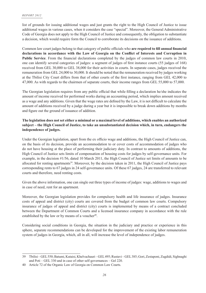list of grounds for issuing additional wages and just grants the right to the High Council of Justice to issue additional wages in various cases, when it considers the case "special". Moreover, the General Administrative Code of Georgia does not apply to the High Council of Justice and consequently, the obligation to substantiate a decision, which would require form the Council to corroborate its decisions on the issuance of additions.

Common law court judges belong to that category of public officials who **are required to fill annual financial** declarations in accordance with the Law of Georgia on the Conflict of Interests and Corruption in **Public Service**. From the financial declarations completed by the judges of common law courts in 2010, one can identify several categories of judges: a segment of judges of first instance courts (55 judges of 168) received from GEL 30,000 to GEL 38,000 for their activities in courts. In separate cases, judges received the remuneration from GEL 24,000 to 30,000. It should be noted that the remuneration received by judges working at the Tbilisi City Court differs from that of other courts of the first instance, ranging from GEL 42,000 to 47,000. As with regards to the chairmen of separate courts, their income ranges from GEL 55,000 to 57,000.

The Georgian legislation requires from any public official that while filling a declaration he/she indicates the amount of income received for performed works during an accounting period, which implies amount received as a wage and any additions. Given that the wage rates are defined by the Law, it is not difficult to calculate the amount of additions received by a judge during a year but it is impossible to break down additions by months and figure out the ground of issuance of addition.

## **The legislation does not set either a minimal or a maximal level of additions, which enables an authorized subject – the High Council of Justice, to take an unsubstantiated decision which, in turn, endangers the independence of judges.**

Under the Georgian legislation, apart from the ex officio wage and additions, the High Council of Justice can, on the basis of its decision, provide an accommodation to or cover costs of accommodation of judges who do not have housing at the place of performing their judiciary duty. In contrast to amounts of additions, the High Council of Justice sets limits of compensation of housing costs for judges by self-governance units. For example, in the decision #1/56, dated 10 March 2011, the High Council of Justice set limits of amounts to be allocated for renting apartments<sup>39</sup>. Moreover, by the decision taken in 2011, the High Council of Justice pays corresponding rents to 67 judges in 24 self-governance units. Of these 67 judges, 24 are transferred to relevant courts and therefore, need renting costs.

Given the above information, one can single out three types of income of judges: wage, additions to wages and in case of need, rent for an apartment.

Moreover, the Georgian legislation provides for compulsory health and life insurance of judges. Insurance costs of appeal and district (city) courts are covered from the budget of common law courts. Compulsory insurance of judges of appeal and district (city) courts is implemented by means of a contract concluded between the Department of Common Courts and a licensed insurance company in accordance with the rule established by the law or by means of a voucher $40$ .

Considering social conditions in Georgia, the situation in the judiciary and practice or experience in this sphere, separate recommendations can be developed for the improvement of the existing labor remuneration system of judges in Georgia, which, all in all, will increase the level of independence of judges.

<sup>39</sup> Tbilisi – GEL 550; Batumi, Kutaisi, Khelvachauri – GEL 495; Rustavi – GEL 385; Gori, Zestaponi, Zugdidi, Sighnaghi and Poti – GEL 330 and in case of other self-governances – Gel 220.

<sup>40</sup> Article 72 of the Organic Law of Georgia on Common Law Courts.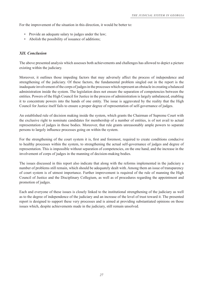For the improvement of the situation in this direction, it would be better to:

- Provide an adequate salary to judges under the law;
- Abolish the possibility of issuance of additions;

#### *XII. Conclusion*

The above presented analysis which assesses both achievements and challenges has allowed to depict a picture existing within the judiciary.

Moreover, it outlines those impeding factors that may adversely affect the process of independence and strengthening of the judiciary. Of these factors, the fundamental problem singled out in the report is the inadequate involvement of the corps of judges in the processes which represent an obstacle in creating a balanced administration inside the system. The legislation does not ensure the separation of competencies between the entities. Powers of the High Council for Justice in the process of administration is largely unbalanced, enabling it to concentrate powers into the hands of one entity. The issue is aggravated by the reality that the High Council for Justice itself fails to ensure a proper degree of representation of self-governance of judges.

An established rule of decision making inside the system, which grants the Chairman of Supreme Court with the exclusive right to nominate candidates for membership of a number of entities, is of not avail to actual representation of judges in those bodies. Moreover, that rule grants unreasonably ample powers to separate persons to largely influence processes going on within the system.

For the strengthening of the court system it is, first and foremost, required to create conditions conducive to healthy processes within the system, to strengthening the actual self-governance of judges and degree of representation. This is impossible without separation of competencies, on the one hand, and the increase in the involvement of corps of judges in the manning of decision-making bodies.

The issues discussed in this report also indicate that along with the reforms implemented in the judiciary a number of problems still remain, which should be adequately dealt with. Among them an issue of transparency of court system is of utmost importance. Further improvement is required of the rule of manning the High Council of Justice and the Disciplinary Collegium, as well as of procedures regarding the appointment and promotion of judges.

Each and everyone of these issues is closely linked to the institutional strengthening of the judiciary as well as to the degree of independence of the judiciary and an increase of the level of trust toward it. The presented report is designed to support these very processes and is aimed at providing substantiated opinions on those issues which, despite achievements made in the judiciary, still remain unsolved.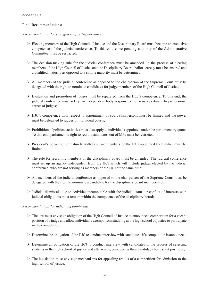#### **Final Recommendations:**

*Recommendations for strengthening self-governance:*

- $\triangleright$  Electing members of the High Council of Justice and the Disciplinary Board must become an exclusive competence of the judicial conference. To this end, corresponding authority of the Administrative Committee must be restricted;
- $\triangleright$  The decision-making rule for the judicial conference must be amended. In the process of electing members of the High Council of Justice and the Disciplinary Board; ballot secrecy must be ensured and a qualified majority as opposed to a simple majority must be determined;
- $\triangleright$  All members of the judicial conference as opposed to the chairperson of the Supreme Court must be delegated with the right to nominate candidates for judge members of the High Council of Justice;
- $\triangleright$  Evaluation and promotion of judges must be separated from the HCJ's competence. To this end, the judicial conference must set up an independent body responsible for issues pertinent to professional career of judges;
- ¾HJC's competence with respect to appointment of court chairpersons must be limited and the power must be delegated to judges of individual courts;
- $\triangleright$  Prohibition of political activities must also apply to individuals appointed under the parliamentary quota. To this end, parliament's right to recruit candidates out of MPs must be restricted;
- ¾President's power to prematurely withdraw two members of the HCJ appointed by him/her must be limited;
- $\triangleright$  The rule for recruiting members of the disciplinary board must be amended. The judicial conference must set up an agency independent from the HCJ which will include judges elected by the judicial conference, who are not serving as members of the HCJ at the same time;
- $\triangleright$  All members of the judicial conference as opposed to the chairperson of the Supreme Court must be delegated with the right to nominate a candidate for the disciplinary board membership;
- $\triangleright$  Judicial dismissals due to activities incompatible with the judicial status or conflict of interests with judicial obligations must remain within the competence of the disciplinary board;

#### *Recommendations for judicial appointments:*

- $\triangleright$  The law must envisage obligation of the High Council of Justice to announce a competition for a vacant position of a judge and allow individuals exempt from studying at the high school of justice to participate in the competition;
- $\triangleright$  Determine the obligation of the HJC to conduct interview with candidates, if a competition is announced;
- ¾Determine an obligation of the HCJ to conduct interview with candidates in the process of selecting students in the high school of justice and afterwards, considering their candidacy for vacant positions;
- $\triangleright$  The legislation must envisage mechanisms for appealing results of a competition for admission to the high school of justice.